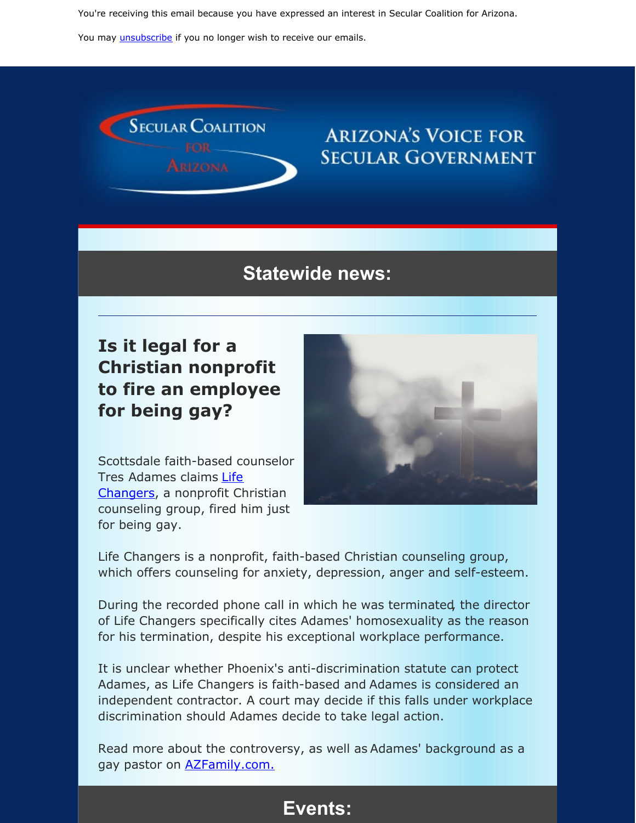You're receiving this email because you have expressed an interest in Secular Coalition for Arizona.

You may *[unsubscribe](https://visitor.constantcontact.com/do?p=un&m=001P9cdir9A6TjtWqZlUS4EUA%3D%3D&ch=&ca=9ad88161-11d6-4469-9514-fff019a389f1)* if you no longer wish to receive our emails.



# **ARIZONA'S VOICE FOR SECULAR GOVERNMENT**

## **Statewide news:**

# **Is it legal for a Christian nonprofit to fire an employee for being gay?**



Scottsdale faith-based counselor Tres Adames claims Life [Changers,](https://azchristiancounseling.com) a nonprofit Christian counseling group, fired him just for being gay.

Life Changers is a nonprofit, faith-based Christian counseling group, which offers counseling for anxiety, depression, anger and self-esteem.

During the recorded phone call in which he was terminated, the director of Life Changers specifically cites Adames' homosexuality as the reason for his termination, despite his exceptional workplace performance.

It is unclear whether Phoenix's anti-discrimination statute can protect Adames, as Life Changers is faith-based and Adames is considered an independent contractor. A court may decide if this falls under workplace discrimination should Adames decide to take legal action.

Read more about the controversy, as well as Adames' background as a gay pastor on **[AZFamily.com.](https://www.azfamily.com/news/original_reporting/pastor-claims-he-was-fired-for-being-gay-in-north/article_b831cb34-05c0-11ea-9a4d-a7a99e266ab9.html)** 

## **Events:**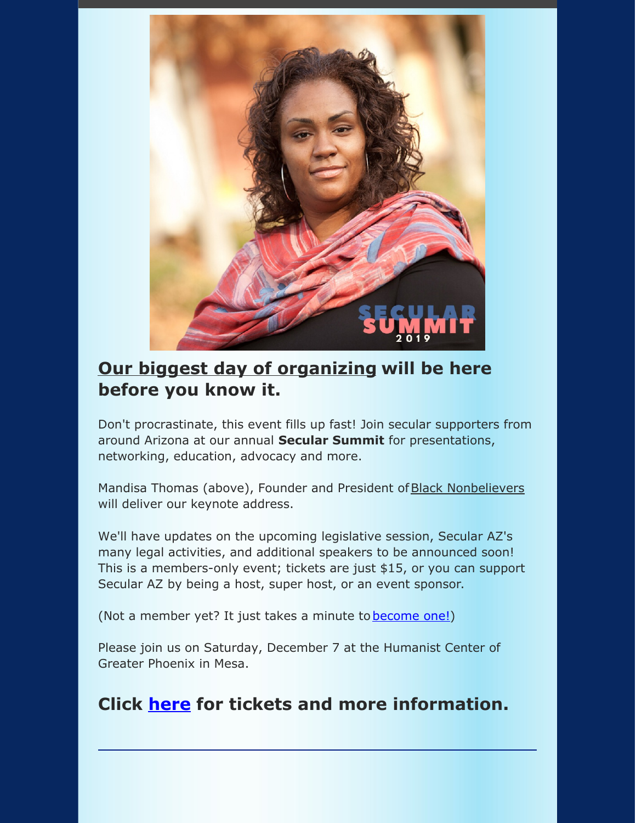

## **Our biggest day of [organizing](https://secularaz.org/vocabulary_3/events/) will be here before you know it.**

Don't procrastinate, this event fills up fast! Join secular supporters from around Arizona at our annual **Secular Summit** for presentations, networking, education, advocacy and more.

Mandisa Thomas (above), Founder and President of Black [Nonbelievers](https://blacknonbelievers.com/) will deliver our keynote address.

We'll have updates on the upcoming legislative session, Secular AZ's many legal activities, and additional speakers to be announced soon! This is a members-only event; tickets are just \$15, or you can support Secular AZ by being a host, super host, or an event sponsor.

(Not a member yet? It just takes a minute to **[become](https://secularaz.org/product-category/donate-membership/) one!)** 

Please join us on Saturday, December 7 at the Humanist Center of Greater Phoenix in Mesa.

## **Click [here](https://secularaz.org/product/secular-summit-2019/) for tickets and more information.**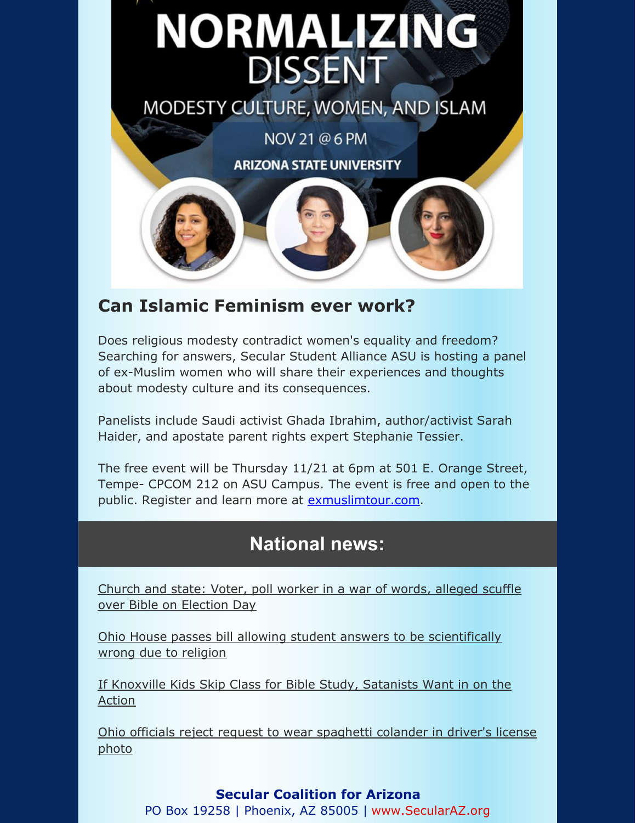# **NORMALIZING DISSENT**

MODESTY CULTURE, WOMEN, AND ISLAM

NOV 21 @ 6 PM **ARIZONA STATE UNIVERSITY** 

## **Can Islamic Feminism ever work?**

Does religious modesty contradict women's equality and freedom? Searching for answers, Secular Student Alliance ASU is hosting a panel of ex-Muslim women who will share their experiences and thoughts about modesty culture and its consequences.

Panelists include Saudi activist Ghada Ibrahim, author/activist Sarah Haider, and apostate parent rights expert Stephanie Tessier.

The free event will be Thursday 11/21 at 6pm at 501 E. Orange Street, Tempe- CPCOM 212 on ASU Campus. The event is free and open to the public. Register and learn more at [exmuslimtour.com](http://exmuslimtour.org).

# **National news:**

Church and state: Voter, poll worker in a war of words, alleged scuffle over Bible on [Election](http://www.philadelphiaweekly.com/news/church-and-state-voter-poll-worker-in-a-war-of/article_77e36e3c-04f0-11ea-9b6f-7f09dcf590d5.html?fbclid=IwAR0FyWA_n6UvdDkS_SxVSrypwmJprqGvN0tXg2xD8w5W4l8KDkeXUCvKuds) Day

Ohio House passes bill allowing student answers to be [scientifically](https://local12.com/news/local/ohio-house-passes-bill-allowing-student-answers-to-be-scientifically-wrong-due-to-religion?fbclid=IwAR15EcU0t69QjAl_E44l4MIlOhQgZGDZ_BenJPUGMBKzWOVDrfcLmeiPkcA) wrong due to religion

If Knoxville Kids Skip Class for Bible Study, [Satanists](https://friendlyatheist.patheos.com/2019/11/03/if-knoxville-kids-skip-class-for-bible-study-satanists-want-in-on-the-action/?fbclid=IwAR1AQSzgPwk2K0_IJjkGGiEEYFq4iPDWkKwLe6s-6af3YmG41JKp_Gr_olQ) Want in on the Action

Ohio officials reject request to wear [spaghetti](https://www.usatoday.com/story/news/nation/2019/11/01/driver-license-pastafarians-no-colanders-ohio-id-photos/4121497002/?fbclid=IwAR2GwA2CBatvF56mnhyP0Hv0fRrGSQp4Rbvd2Ufp58KmThrAl8p2C_VkKoY) colander in driver's license photo

### **Secular Coalition for Arizona**

PO Box 19258 | Phoenix, AZ 85005 | [www.SecularAZ.org](http://www.secularaz.org)